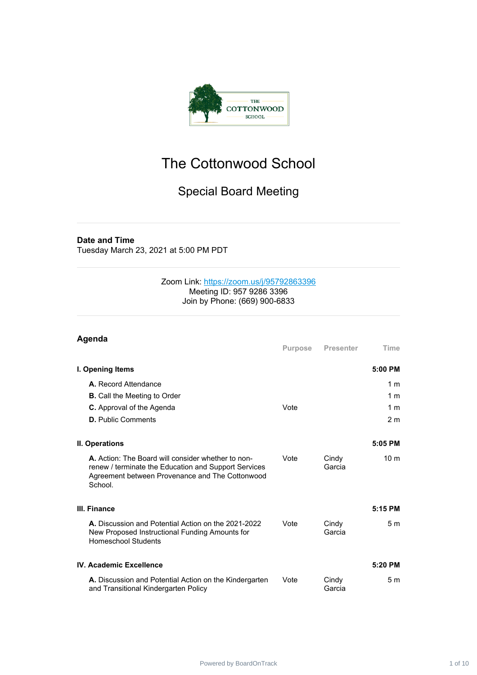

## The Cottonwood School

## Special Board Meeting

#### **Date and Time**

Tuesday March 23, 2021 at 5:00 PM PDT

#### Zoom Link: <https://zoom.us/j/95792863396> Meeting ID: 957 9286 3396 Join by Phone: (669) 900-6833

| Agenda                                                                                                                                                                   |                |                  |                 |
|--------------------------------------------------------------------------------------------------------------------------------------------------------------------------|----------------|------------------|-----------------|
|                                                                                                                                                                          | <b>Purpose</b> | <b>Presenter</b> | Time            |
| I. Opening Items                                                                                                                                                         |                |                  | 5:00 PM         |
| A. Record Attendance                                                                                                                                                     |                |                  | 1 <sub>m</sub>  |
| <b>B.</b> Call the Meeting to Order                                                                                                                                      |                |                  | 1 <sub>m</sub>  |
| C. Approval of the Agenda                                                                                                                                                | Vote           |                  | 1 <sub>m</sub>  |
| <b>D.</b> Public Comments                                                                                                                                                |                |                  | 2 <sub>m</sub>  |
| II. Operations                                                                                                                                                           |                |                  | 5:05 PM         |
| A. Action: The Board will consider whether to non-<br>renew / terminate the Education and Support Services<br>Agreement between Provenance and The Cottonwood<br>School. | Vote           | Cindy<br>Garcia  | 10 <sub>m</sub> |
| III. Finance                                                                                                                                                             |                |                  | 5:15 PM         |
| A. Discussion and Potential Action on the 2021-2022<br>New Proposed Instructional Funding Amounts for<br><b>Homeschool Students</b>                                      | Vote           | Cindy<br>Garcia  | 5 <sub>m</sub>  |
| IV. Academic Excellence                                                                                                                                                  |                |                  | $5:20$ PM       |
| A. Discussion and Potential Action on the Kindergarten<br>and Transitional Kindergarten Policy                                                                           | Vote           | Cindy<br>Garcia  | 5 <sub>m</sub>  |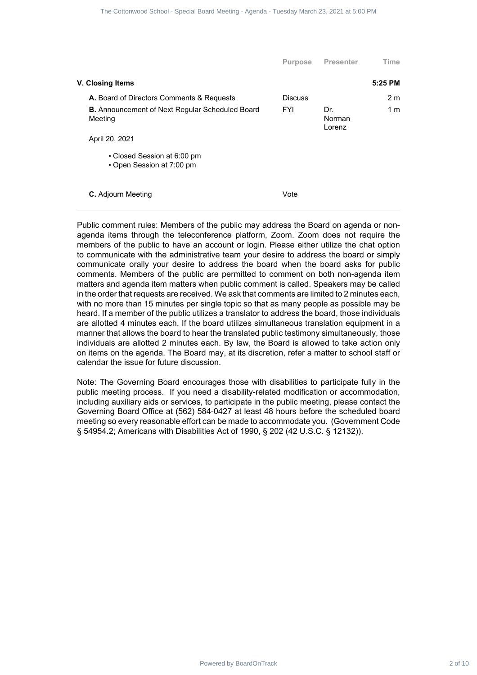| The Cottonwood School - Special Board Meeting - Agenda - Tuesday March 23, 2021 at 5:00 PM                                                                                                                                                                                                                                                                                                                                                                                                                                                                                                                                                                                                                                                                                                                                                                                                                                                                                                                                                                                                                                                                                                                                                                                                                                                                                                                                                                                                                                                                                                                                                                                                                                                          |                              |                  |                                  |         |  |  |
|-----------------------------------------------------------------------------------------------------------------------------------------------------------------------------------------------------------------------------------------------------------------------------------------------------------------------------------------------------------------------------------------------------------------------------------------------------------------------------------------------------------------------------------------------------------------------------------------------------------------------------------------------------------------------------------------------------------------------------------------------------------------------------------------------------------------------------------------------------------------------------------------------------------------------------------------------------------------------------------------------------------------------------------------------------------------------------------------------------------------------------------------------------------------------------------------------------------------------------------------------------------------------------------------------------------------------------------------------------------------------------------------------------------------------------------------------------------------------------------------------------------------------------------------------------------------------------------------------------------------------------------------------------------------------------------------------------------------------------------------------------|------------------------------|------------------|----------------------------------|---------|--|--|
|                                                                                                                                                                                                                                                                                                                                                                                                                                                                                                                                                                                                                                                                                                                                                                                                                                                                                                                                                                                                                                                                                                                                                                                                                                                                                                                                                                                                                                                                                                                                                                                                                                                                                                                                                     | Purpose                      | <b>Presenter</b> | Time                             |         |  |  |
| V. Closing Items                                                                                                                                                                                                                                                                                                                                                                                                                                                                                                                                                                                                                                                                                                                                                                                                                                                                                                                                                                                                                                                                                                                                                                                                                                                                                                                                                                                                                                                                                                                                                                                                                                                                                                                                    |                              |                  | 5:25 PM                          |         |  |  |
| A. Board of Directors Comments & Requests<br><b>B.</b> Announcement of Next Regular Scheduled Board<br>Meeting                                                                                                                                                                                                                                                                                                                                                                                                                                                                                                                                                                                                                                                                                                                                                                                                                                                                                                                                                                                                                                                                                                                                                                                                                                                                                                                                                                                                                                                                                                                                                                                                                                      | <b>Discuss</b><br><b>FYI</b> | Dr.<br>Norman    | 2 <sub>m</sub><br>1 <sub>m</sub> |         |  |  |
| April 20, 2021                                                                                                                                                                                                                                                                                                                                                                                                                                                                                                                                                                                                                                                                                                                                                                                                                                                                                                                                                                                                                                                                                                                                                                                                                                                                                                                                                                                                                                                                                                                                                                                                                                                                                                                                      |                              | Lorenz           |                                  |         |  |  |
| • Closed Session at 6:00 pm<br>• Open Session at 7:00 pm                                                                                                                                                                                                                                                                                                                                                                                                                                                                                                                                                                                                                                                                                                                                                                                                                                                                                                                                                                                                                                                                                                                                                                                                                                                                                                                                                                                                                                                                                                                                                                                                                                                                                            |                              |                  |                                  |         |  |  |
| C. Adjourn Meeting                                                                                                                                                                                                                                                                                                                                                                                                                                                                                                                                                                                                                                                                                                                                                                                                                                                                                                                                                                                                                                                                                                                                                                                                                                                                                                                                                                                                                                                                                                                                                                                                                                                                                                                                  | Vote                         |                  |                                  |         |  |  |
| members of the public to have an account or login. Please either utilize the chat option<br>to communicate with the administrative team your desire to address the board or simply<br>communicate orally your desire to address the board when the board asks for public<br>comments. Members of the public are permitted to comment on both non-agenda item<br>matters and agenda item matters when public comment is called. Speakers may be called<br>in the order that requests are received. We ask that comments are limited to 2 minutes each,<br>with no more than 15 minutes per single topic so that as many people as possible may be<br>heard. If a member of the public utilizes a translator to address the board, those individuals<br>are allotted 4 minutes each. If the board utilizes simultaneous translation equipment in a<br>manner that allows the board to hear the translated public testimony simultaneously, those<br>individuals are allotted 2 minutes each. By law, the Board is allowed to take action only<br>on items on the agenda. The Board may, at its discretion, refer a matter to school staff or<br>calendar the issue for future discussion.<br>Note: The Governing Board encourages those with disabilities to participate fully in the<br>public meeting process. If you need a disability-related modification or accommodation,<br>including auxiliary aids or services, to participate in the public meeting, please contact the<br>Governing Board Office at (562) 584-0427 at least 48 hours before the scheduled board<br>meeting so every reasonable effort can be made to accommodate you. (Government Code<br>§ 54954.2; Americans with Disabilities Act of 1990, § 202 (42 U.S.C. § 12132)). |                              |                  |                                  |         |  |  |
| Powered by BoardOnTrack                                                                                                                                                                                                                                                                                                                                                                                                                                                                                                                                                                                                                                                                                                                                                                                                                                                                                                                                                                                                                                                                                                                                                                                                                                                                                                                                                                                                                                                                                                                                                                                                                                                                                                                             |                              |                  |                                  | 2 of 10 |  |  |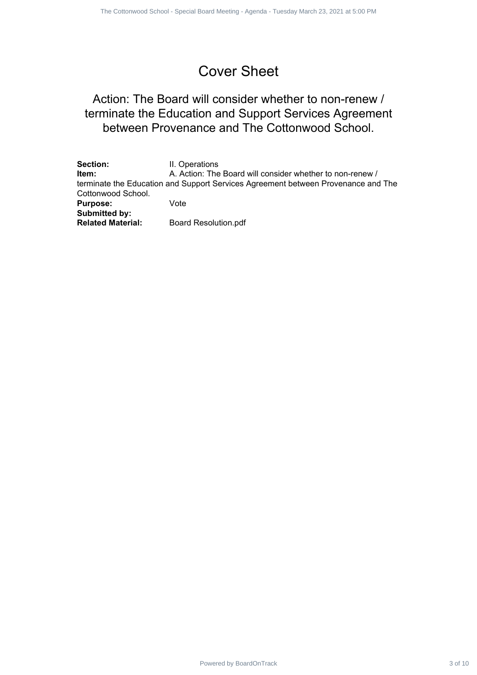## Cover Sheet

### Action: The Board will consider whether to non-renew / terminate the Education and Support Services Agreement between Provenance and The Cottonwood School.

|                                                                                                         | The Cottonwood School - Special Board Meeting - Agenda - Tuesday March 23, 2021 at 5:00 PM                                                                                                              |         |
|---------------------------------------------------------------------------------------------------------|---------------------------------------------------------------------------------------------------------------------------------------------------------------------------------------------------------|---------|
|                                                                                                         |                                                                                                                                                                                                         |         |
|                                                                                                         | <b>Cover Sheet</b>                                                                                                                                                                                      |         |
|                                                                                                         | Action: The Board will consider whether to non-renew /<br>terminate the Education and Support Services Agreement<br>between Provenance and The Cottonwood School.                                       |         |
| Section:<br>Item:<br>Cottonwood School.<br><b>Purpose:</b><br>Submitted by:<br><b>Related Material:</b> | II. Operations<br>A. Action: The Board will consider whether to non-renew /<br>terminate the Education and Support Services Agreement between Provenance and The<br>Vote<br><b>Board Resolution.pdf</b> |         |
|                                                                                                         |                                                                                                                                                                                                         |         |
|                                                                                                         | Powered by BoardOnTrack                                                                                                                                                                                 | 3 of 10 |
|                                                                                                         |                                                                                                                                                                                                         |         |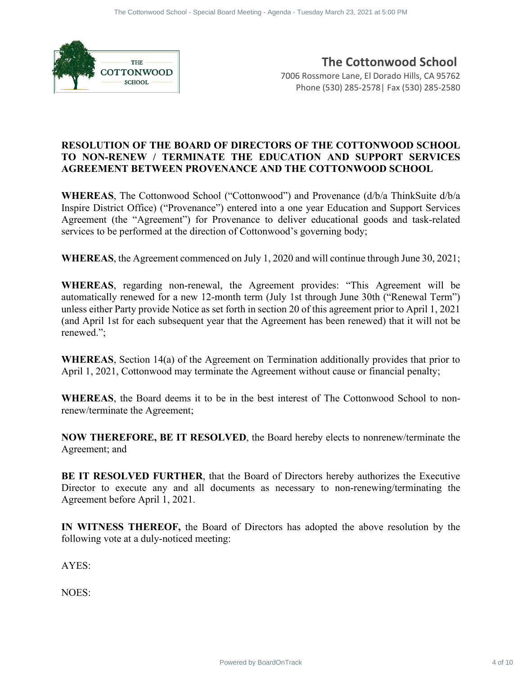

**The Cottonwood School** 7006 Rossmore Lane, El Dorado Hills, CA 95762 Phone (530) 285-2578| Fax (530) 285-2580

#### **RESOLUTION OF THE BOARD OF DIRECTORS OF THE COTTONWOOD SCHOOL TO NON-RENEW / TERMINATE THE EDUCATION AND SUPPORT SERVICES AGREEMENT BETWEEN PROVENANCE AND THE COTTONWOOD SCHOOL**

**WHEREAS**, The Cottonwood School ("Cottonwood") and Provenance (d/b/a ThinkSuite d/b/a Inspire District Office) ("Provenance") entered into a one year Education and Support Services Agreement (the "Agreement") for Provenance to deliver educational goods and task-related services to be performed at the direction of Cottonwood's governing body;

**WHEREAS**, the Agreement commenced on July 1, 2020 and will continue through June 30, 2021;

**WHEREAS**, regarding non-renewal, the Agreement provides: "This Agreement will be automatically renewed for a new 12-month term (July 1st through June 30th ("Renewal Term") unless either Party provide Notice as set forth in section 20 of this agreement prior to April 1, 2021 (and April 1st for each subsequent year that the Agreement has been renewed) that it will not be renewed."; **Profits and Contract 4 of 10** The Cottonwood School - Special Board Meeting - Agenda - Special Board Cottonwood School - Special Board Meeting - Special Board Meeting - Special Board Meeting - Special Board Meeting - Spe

**WHEREAS**, Section 14(a) of the Agreement on Termination additionally provides that prior to April 1, 2021, Cottonwood may terminate the Agreement without cause or financial penalty;

**WHEREAS**, the Board deems it to be in the best interest of The Cottonwood School to nonrenew/terminate the Agreement;

**NOW THEREFORE, BE IT RESOLVED**, the Board hereby elects to nonrenew/terminate the Agreement; and

**BE IT RESOLVED FURTHER**, that the Board of Directors hereby authorizes the Executive Director to execute any and all documents as necessary to non-renewing/terminating the Agreement before April 1, 2021.

**IN WITNESS THEREOF,** the Board of Directors has adopted the above resolution by the following vote at a duly-noticed meeting:

AYES:

NOES: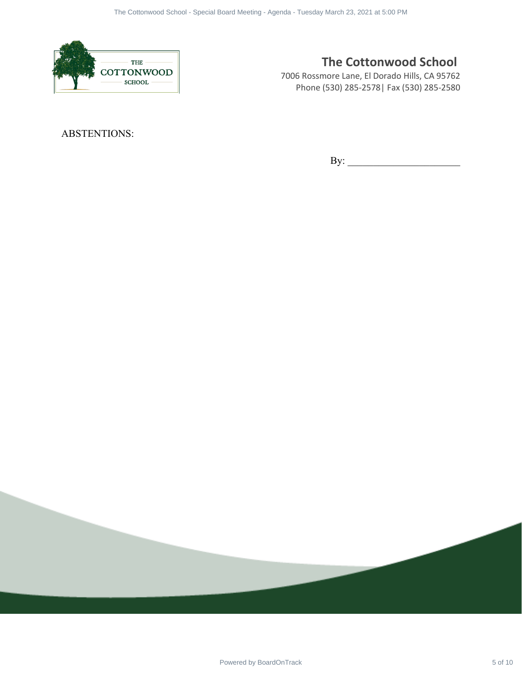

#### **The Cottonwood School**

7006 Rossmore Lane, El Dorado Hills, CA 95762 Phone (530) 285-2578| Fax (530) 285-2580

ABSTENTIONS:

By: \_\_\_\_\_\_\_\_\_\_\_\_\_\_\_\_\_\_\_\_\_\_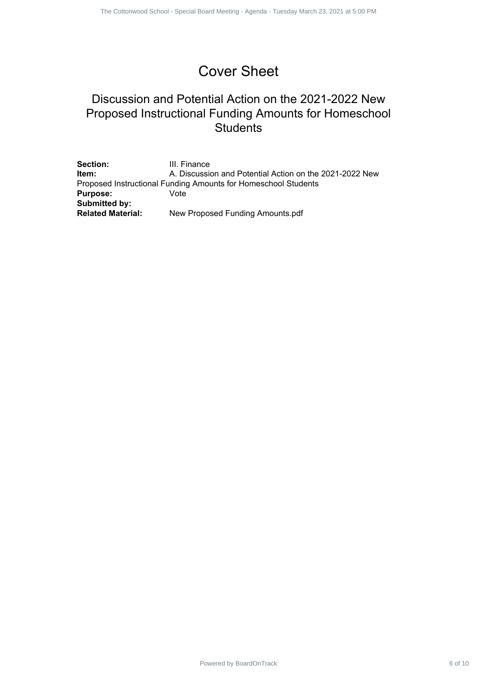## Cover Sheet

### Discussion and Potential Action on the 2021-2022 New Proposed Instructional Funding Amounts for Homeschool **Students**

|                                                                                   | The Cottonwood School - Special Board Meeting - Agenda - Tuesday March 23, 2021 at 5:00 PM                                                                                            |  |         |
|-----------------------------------------------------------------------------------|---------------------------------------------------------------------------------------------------------------------------------------------------------------------------------------|--|---------|
|                                                                                   |                                                                                                                                                                                       |  |         |
|                                                                                   | <b>Cover Sheet</b>                                                                                                                                                                    |  |         |
|                                                                                   | Discussion and Potential Action on the 2021-2022 New<br>Proposed Instructional Funding Amounts for Homeschool<br><b>Students</b>                                                      |  |         |
| Section:<br>Item:<br><b>Purpose:</b><br>Submitted by:<br><b>Related Material:</b> | III. Finance<br>A. Discussion and Potential Action on the 2021-2022 New<br>Proposed Instructional Funding Amounts for Homeschool Students<br>Vote<br>New Proposed Funding Amounts.pdf |  |         |
|                                                                                   |                                                                                                                                                                                       |  |         |
|                                                                                   |                                                                                                                                                                                       |  |         |
|                                                                                   |                                                                                                                                                                                       |  |         |
|                                                                                   |                                                                                                                                                                                       |  |         |
|                                                                                   |                                                                                                                                                                                       |  |         |
|                                                                                   |                                                                                                                                                                                       |  |         |
|                                                                                   |                                                                                                                                                                                       |  |         |
|                                                                                   | Powered by BoardOnTrack                                                                                                                                                               |  | 6 of 10 |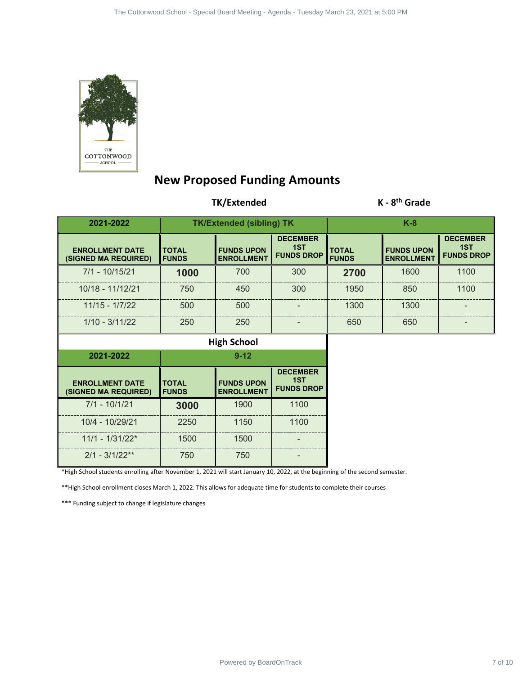

### **New Proposed Funding Amounts**

#### **TK/Extended K - 8th Grade**

|                                                                                                                              |                              | The Cottonwood School - Special Board Meeting - Agenda - Tuesday March 23, 2021 at 5:00 PM |                                             |                              |                                        |                                             |
|------------------------------------------------------------------------------------------------------------------------------|------------------------------|--------------------------------------------------------------------------------------------|---------------------------------------------|------------------------------|----------------------------------------|---------------------------------------------|
|                                                                                                                              |                              |                                                                                            |                                             |                              |                                        |                                             |
|                                                                                                                              |                              |                                                                                            |                                             |                              |                                        |                                             |
|                                                                                                                              |                              |                                                                                            |                                             |                              |                                        |                                             |
| THE<br>COTTONWOOD<br>${\tt SCHOOL}$                                                                                          |                              | <b>New Proposed Funding Amounts</b>                                                        |                                             |                              |                                        |                                             |
|                                                                                                                              |                              | TK/Extended                                                                                |                                             |                              | $K - 8th$ Grade                        |                                             |
| 2021-2022                                                                                                                    |                              | <b>TK/Extended (sibling) TK</b>                                                            |                                             |                              | $K-8$                                  |                                             |
| <b>ENROLLMENT DATE</b><br>(SIGNED MA REQUIRED)                                                                               | <b>TOTAL</b><br><b>FUNDS</b> | <b>FUNDS UPON</b><br><b>ENROLLMENT</b>                                                     | <b>DECEMBER</b><br>1ST<br><b>FUNDS DROP</b> | <b>TOTAL</b><br><b>FUNDS</b> | <b>FUNDS UPON</b><br><b>ENROLLMENT</b> | <b>DECEMBER</b><br>1ST<br><b>FUNDS DROP</b> |
| $7/1 - 10/15/21$                                                                                                             | 1000                         | 700                                                                                        | 300                                         | 2700                         | 1600                                   | 1100                                        |
| 10/18 - 11/12/21                                                                                                             | 750                          | 450                                                                                        | 300                                         | 1950                         | 850                                    | 1100                                        |
| $11/15 - 1/7/22$                                                                                                             | 500                          | 500                                                                                        |                                             | 1300                         | 1300                                   |                                             |
| $1/10 - 3/11/22$                                                                                                             | 250                          | 250                                                                                        |                                             | 650                          | 650                                    |                                             |
|                                                                                                                              |                              | <b>High School</b>                                                                         |                                             |                              |                                        |                                             |
| 2021-2022                                                                                                                    |                              | $9 - 12$                                                                                   |                                             |                              |                                        |                                             |
| <b>ENROLLMENT DATE</b><br>(SIGNED MA REQUIRED)                                                                               | <b>TOTAL</b><br><b>FUNDS</b> | <b>FUNDS UPON</b><br><b>ENROLLMENT</b>                                                     | <b>DECEMBER</b><br>1ST<br><b>FUNDS DROP</b> |                              |                                        |                                             |
| $7/1 - 10/1/21$                                                                                                              | 3000                         | 1900                                                                                       | 1100                                        |                              |                                        |                                             |
| 10/4 - 10/29/21                                                                                                              | 2250                         | 1150                                                                                       | 1100                                        |                              |                                        |                                             |
| $11/1 - 1/31/22$ *                                                                                                           | 1500                         | 1500                                                                                       |                                             |                              |                                        |                                             |
| $2/1 - 3/1/22**$                                                                                                             | 750                          | 750                                                                                        |                                             |                              |                                        |                                             |
| *High School students enrolling after November 1, 2021 will start January 10, 2022, at the beginning of the second semester. |                              |                                                                                            |                                             |                              |                                        |                                             |
| ** High School enrollment closes March 1, 2022. This allows for adequate time for students to complete their courses         |                              |                                                                                            |                                             |                              |                                        |                                             |
| *** Funding subject to change if legislature changes                                                                         |                              |                                                                                            |                                             |                              |                                        |                                             |
|                                                                                                                              |                              |                                                                                            |                                             |                              |                                        |                                             |
|                                                                                                                              |                              |                                                                                            |                                             |                              |                                        |                                             |
|                                                                                                                              |                              |                                                                                            |                                             |                              |                                        |                                             |
|                                                                                                                              |                              |                                                                                            |                                             |                              |                                        |                                             |
|                                                                                                                              |                              |                                                                                            |                                             |                              |                                        |                                             |
|                                                                                                                              |                              |                                                                                            |                                             |                              |                                        |                                             |
|                                                                                                                              |                              |                                                                                            |                                             |                              |                                        |                                             |
|                                                                                                                              |                              |                                                                                            |                                             |                              |                                        |                                             |
|                                                                                                                              |                              | Powered by BoardOnTrack                                                                    |                                             |                              |                                        | 7 of 10                                     |

| 2021-2022                                      | $9 - 12$                     |                                        |                                             |  |
|------------------------------------------------|------------------------------|----------------------------------------|---------------------------------------------|--|
| <b>ENROLLMENT DATE</b><br>(SIGNED MA REQUIRED) | <b>TOTAL</b><br><b>FUNDS</b> | <b>FUNDS UPON</b><br><b>ENROLLMENT</b> | <b>DECEMBER</b><br>1ST<br><b>FUNDS DROP</b> |  |
| $7/1 - 10/1/21$                                | 3000                         | 1900                                   | 1100                                        |  |
| 10/4 - 10/29/21                                | 2250                         | 1150                                   | 1100                                        |  |
| $11/1 - 1/31/22$ *                             | 1500                         | 1500                                   |                                             |  |
| $2/1 - 3/1/22**$                               | 750                          | 750                                    |                                             |  |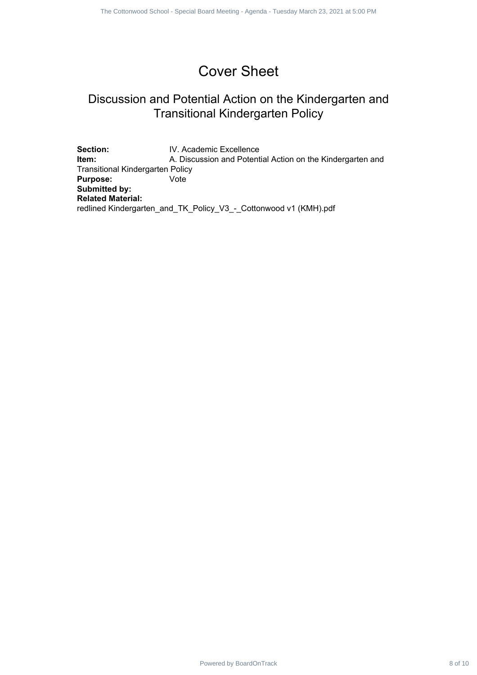## Cover Sheet

### Discussion and Potential Action on the Kindergarten and Transitional Kindergarten Policy

Section: **IV. Academic Excellence Item:** A. Discussion and Potential Action on the Kindergarten and Transitional Kindergarten Policy **Purpose:** Vote **Submitted by: Related Material:** redlined Kindergarten\_and\_TK\_Policy\_V3\_-\_Cottonwood v1 (KMH).pdf Powered By Power School - Special Boardon<br>
Recursion and Polential Action on the Kindergarten and<br>
Transitional Kindergarten Policy<br>
A December Board Meeting - Special Board Meeting<br>
- A December Boardon<br>
Meeting - V3<br>
- W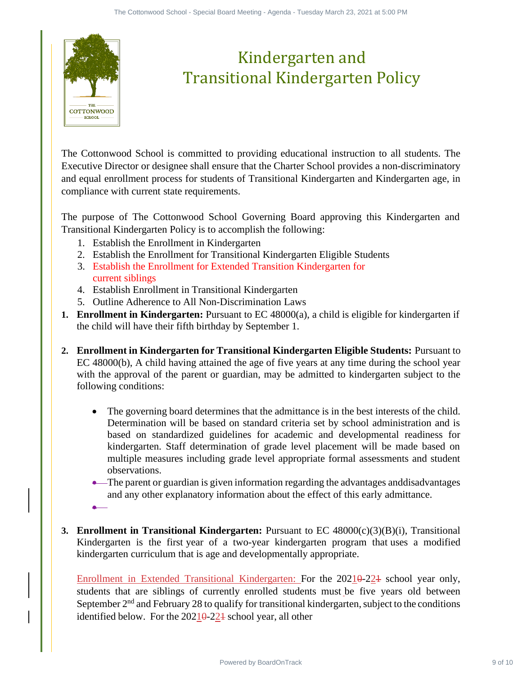

# Kindergarten and Transitional Kindergarten Policy

The Cottonwood School is committed to providing educational instruction to all students. The Executive Director or designee shall ensure that the Charter School provides a non-discriminatory and equal enrollment process for students of Transitional Kindergarten and Kindergarten age, in compliance with current state requirements.

The purpose of The Cottonwood School Governing Board approving this Kindergarten and Transitional Kindergarten Policy is to accomplish the following:

- 1. Establish the Enrollment in Kindergarten
- 2. Establish the Enrollment for Transitional Kindergarten Eligible Students
- 3. Establish the Enrollment for Extended Transition Kindergarten for current siblings
- 4. Establish Enrollment in Transitional Kindergarten
- 5. Outline Adherence to All Non-Discrimination Laws
- **1. Enrollment in Kindergarten:** Pursuant to EC 48000(a), a child is eligible for kindergarten if the child will have their fifth birthday by September 1.
- **2. Enrollment in Kindergarten for Transitional Kindergarten Eligible Students:** Pursuant to EC 48000(b), A child having attained the age of five years at any time during the school year with the approval of the parent or guardian, may be admitted to kindergarten subject to the following conditions:
- The governing board determines that the admittance is in the best interests of the child. Determination will be based on standard criteria set by school administration and is based on standardized guidelines for academic and developmental readiness for kindergarten. Staff determination of grade level placement will be made based on multiple measures including grade level appropriate formal assessments and student observations. Powered by Board Contract 9 of 10 The Contract 9 of 10 The Contract 9 of 10 The Contract 9 of 10 The Contract 9 of 10 The Contract 9 of 10 The Contract 9 of 10 The Contract 9 of 10 The Contract School provides a non-discr
	- The parent or guardian is given information regarding the advantages and disadvantages and any other explanatory information about the effect of this early admittance.
	- •
- **3. Enrollment in Transitional Kindergarten:** Pursuant to EC 48000(c)(3)(B)(i), Transitional Kindergarten is the first year of a two-year kindergarten program that uses a modified kindergarten curriculum that is age and developmentally appropriate.

Enrollment in Extended Transitional Kindergarten: For the 20210-224 school year only, students that are siblings of currently enrolled students must be five years old between September  $2<sup>nd</sup>$  and February 28 to qualify for transitional kindergarten, subject to the conditions identified below. For the  $20210-221$  school year, all other